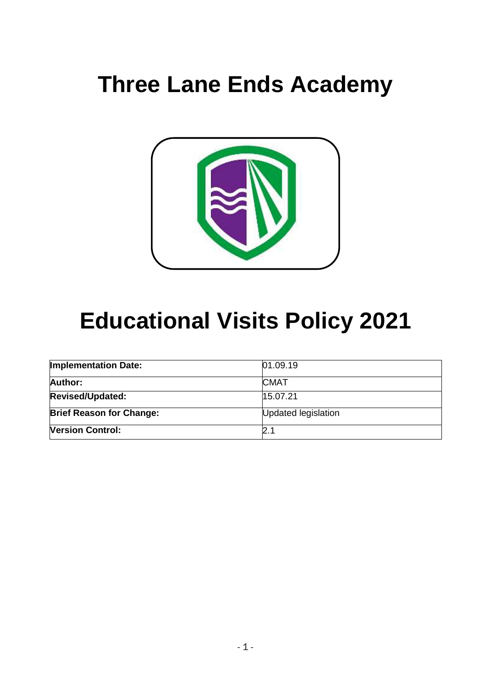# **Three Lane Ends Academy**



# **Educational Visits Policy 2021**

| <b>Implementation Date:</b>     | 01.09.19            |
|---------------------------------|---------------------|
| Author:                         | <b>CMAT</b>         |
| <b>Revised/Updated:</b>         | 15.07.21            |
| <b>Brief Reason for Change:</b> | Updated legislation |
| <b>Version Control:</b>         | 2.1                 |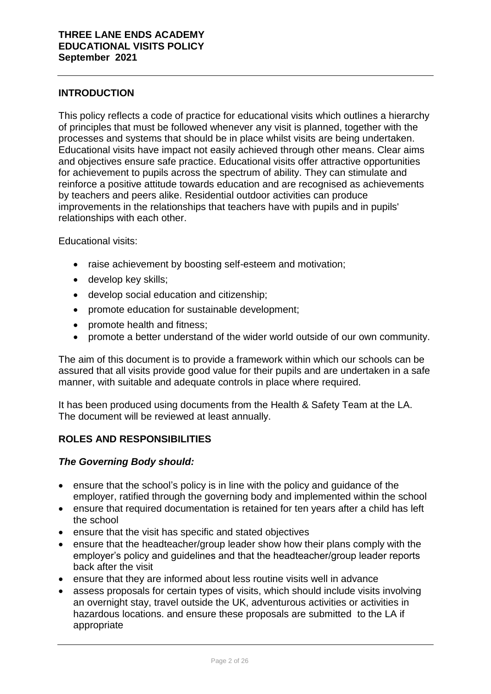# **INTRODUCTION**

This policy reflects a code of practice for educational visits which outlines a hierarchy of principles that must be followed whenever any visit is planned, together with the processes and systems that should be in place whilst visits are being undertaken. Educational visits have impact not easily achieved through other means. Clear aims and objectives ensure safe practice. Educational visits offer attractive opportunities for achievement to pupils across the spectrum of ability. They can stimulate and reinforce a positive attitude towards education and are recognised as achievements by teachers and peers alike. Residential outdoor activities can produce improvements in the relationships that teachers have with pupils and in pupils' relationships with each other.

Educational visits:

- raise achievement by boosting self-esteem and motivation;
- develop key skills;
- develop social education and citizenship;
- promote education for sustainable development;
- promote health and fitness;
- promote a better understand of the wider world outside of our own community.

The aim of this document is to provide a framework within which our schools can be assured that all visits provide good value for their pupils and are undertaken in a safe manner, with suitable and adequate controls in place where required.

It has been produced using documents from the Health & Safety Team at the LA. The document will be reviewed at least annually.

# **ROLES AND RESPONSIBILITIES**

## *The Governing Body should:*

- ensure that the school's policy is in line with the policy and guidance of the employer, ratified through the governing body and implemented within the school
- ensure that required documentation is retained for ten years after a child has left the school
- ensure that the visit has specific and stated objectives
- ensure that the headteacher/group leader show how their plans comply with the employer's policy and guidelines and that the headteacher/group leader reports back after the visit
- ensure that they are informed about less routine visits well in advance
- assess proposals for certain types of visits, which should include visits involving an overnight stay, travel outside the UK, adventurous activities or activities in hazardous locations. and ensure these proposals are submitted to the LA if appropriate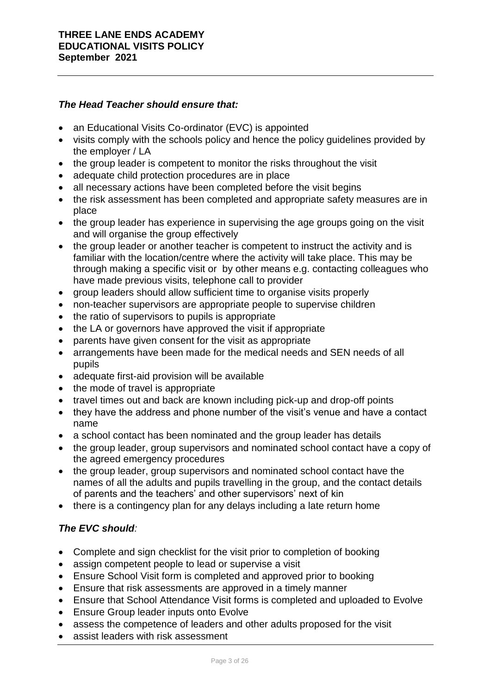# *The Head Teacher should ensure that:*

- an Educational Visits Co-ordinator (EVC) is appointed
- visits comply with the schools policy and hence the policy quidelines provided by the employer / LA
- the group leader is competent to monitor the risks throughout the visit
- adequate child protection procedures are in place
- all necessary actions have been completed before the visit begins
- the risk assessment has been completed and appropriate safety measures are in place
- the group leader has experience in supervising the age groups going on the visit and will organise the group effectively
- the group leader or another teacher is competent to instruct the activity and is familiar with the location/centre where the activity will take place. This may be through making a specific visit or by other means e.g. contacting colleagues who have made previous visits, telephone call to provider
- group leaders should allow sufficient time to organise visits properly
- non-teacher supervisors are appropriate people to supervise children
- the ratio of supervisors to pupils is appropriate
- the LA or governors have approved the visit if appropriate
- parents have given consent for the visit as appropriate
- arrangements have been made for the medical needs and SEN needs of all pupils
- adequate first-aid provision will be available
- $\bullet$  the mode of travel is appropriate
- travel times out and back are known including pick-up and drop-off points
- they have the address and phone number of the visit's venue and have a contact name
- a school contact has been nominated and the group leader has details
- the group leader, group supervisors and nominated school contact have a copy of the agreed emergency procedures
- the group leader, group supervisors and nominated school contact have the names of all the adults and pupils travelling in the group, and the contact details of parents and the teachers' and other supervisors' next of kin
- there is a contingency plan for any delays including a late return home

# *The EVC should:*

- Complete and sign checklist for the visit prior to completion of booking
- assign competent people to lead or supervise a visit
- Ensure School Visit form is completed and approved prior to booking
- Ensure that risk assessments are approved in a timely manner
- Ensure that School Attendance Visit forms is completed and uploaded to Evolve
- Ensure Group leader inputs onto Evolve
- assess the competence of leaders and other adults proposed for the visit
- assist leaders with risk assessment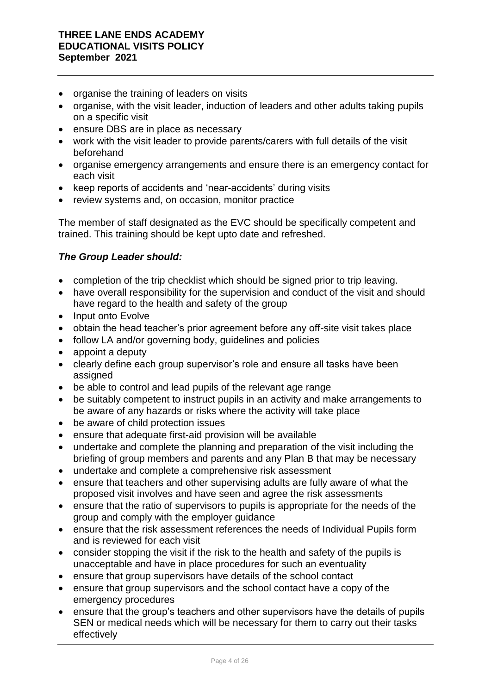- organise the training of leaders on visits
- organise, with the visit leader, induction of leaders and other adults taking pupils on a specific visit
- ensure DBS are in place as necessary
- work with the visit leader to provide parents/carers with full details of the visit beforehand
- organise emergency arrangements and ensure there is an emergency contact for each visit
- keep reports of accidents and 'near-accidents' during visits
- review systems and, on occasion, monitor practice

The member of staff designated as the EVC should be specifically competent and trained. This training should be kept upto date and refreshed.

# *The Group Leader should:*

- completion of the trip checklist which should be signed prior to trip leaving.
- have overall responsibility for the supervision and conduct of the visit and should have regard to the health and safety of the group
- Input onto Evolve
- obtain the head teacher's prior agreement before any off-site visit takes place
- follow LA and/or governing body, guidelines and policies
- appoint a deputy
- clearly define each group supervisor's role and ensure all tasks have been assigned
- be able to control and lead pupils of the relevant age range
- be suitably competent to instruct pupils in an activity and make arrangements to be aware of any hazards or risks where the activity will take place
- be aware of child protection issues
- ensure that adequate first-aid provision will be available
- undertake and complete the planning and preparation of the visit including the briefing of group members and parents and any Plan B that may be necessary
- undertake and complete a comprehensive risk assessment
- ensure that teachers and other supervising adults are fully aware of what the proposed visit involves and have seen and agree the risk assessments
- ensure that the ratio of supervisors to pupils is appropriate for the needs of the group and comply with the employer guidance
- ensure that the risk assessment references the needs of Individual Pupils form and is reviewed for each visit
- consider stopping the visit if the risk to the health and safety of the pupils is unacceptable and have in place procedures for such an eventuality
- ensure that group supervisors have details of the school contact
- ensure that group supervisors and the school contact have a copy of the emergency procedures
- ensure that the group's teachers and other supervisors have the details of pupils SEN or medical needs which will be necessary for them to carry out their tasks effectively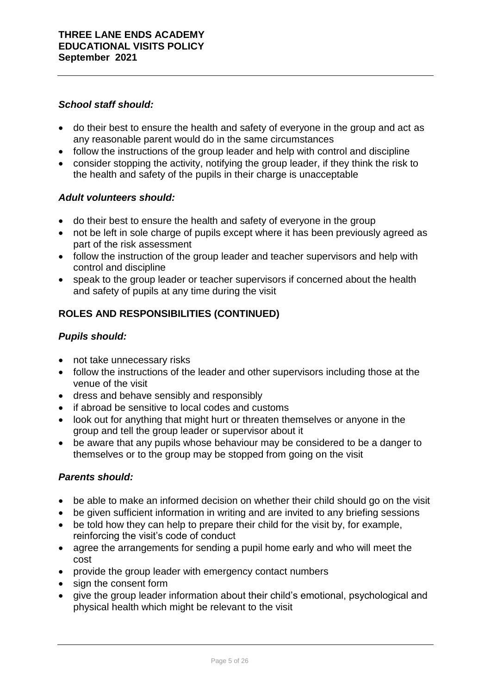# *School staff should:*

- do their best to ensure the health and safety of everyone in the group and act as any reasonable parent would do in the same circumstances
- follow the instructions of the group leader and help with control and discipline
- consider stopping the activity, notifying the group leader, if they think the risk to the health and safety of the pupils in their charge is unacceptable

# *Adult volunteers should:*

- do their best to ensure the health and safety of everyone in the group
- not be left in sole charge of pupils except where it has been previously agreed as part of the risk assessment
- follow the instruction of the group leader and teacher supervisors and help with control and discipline
- speak to the group leader or teacher supervisors if concerned about the health and safety of pupils at any time during the visit

# **ROLES AND RESPONSIBILITIES (CONTINUED)**

## *Pupils should:*

- not take unnecessary risks
- follow the instructions of the leader and other supervisors including those at the venue of the visit
- dress and behave sensibly and responsibly
- if abroad be sensitive to local codes and customs
- look out for anything that might hurt or threaten themselves or anyone in the group and tell the group leader or supervisor about it
- be aware that any pupils whose behaviour may be considered to be a danger to themselves or to the group may be stopped from going on the visit

## *Parents should:*

- be able to make an informed decision on whether their child should go on the visit
- be given sufficient information in writing and are invited to any briefing sessions
- be told how they can help to prepare their child for the visit by, for example, reinforcing the visit's code of conduct
- agree the arrangements for sending a pupil home early and who will meet the cost
- provide the group leader with emergency contact numbers
- sign the consent form
- give the group leader information about their child's emotional, psychological and physical health which might be relevant to the visit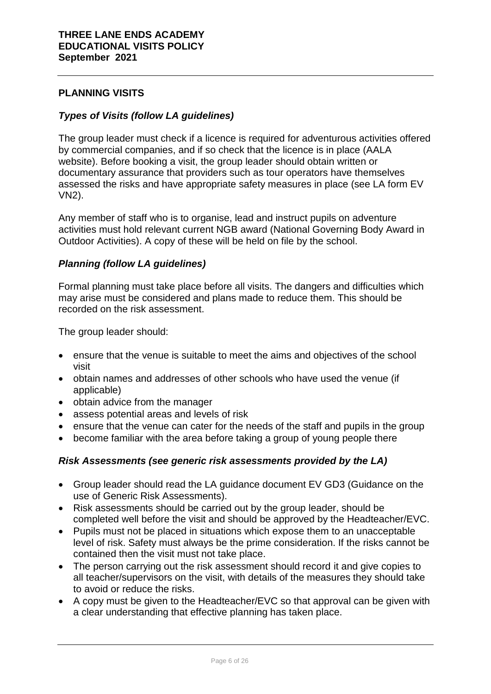# **PLANNING VISITS**

## *Types of Visits (follow LA guidelines)*

The group leader must check if a licence is required for adventurous activities offered by commercial companies, and if so check that the licence is in place (AALA website). Before booking a visit, the group leader should obtain written or documentary assurance that providers such as tour operators have themselves assessed the risks and have appropriate safety measures in place (see LA form EV VN2).

Any member of staff who is to organise, lead and instruct pupils on adventure activities must hold relevant current NGB award (National Governing Body Award in Outdoor Activities). A copy of these will be held on file by the school.

## *Planning (follow LA guidelines)*

Formal planning must take place before all visits. The dangers and difficulties which may arise must be considered and plans made to reduce them. This should be recorded on the risk assessment.

The group leader should:

- ensure that the venue is suitable to meet the aims and objectives of the school visit
- obtain names and addresses of other schools who have used the venue (if applicable)
- obtain advice from the manager
- assess potential areas and levels of risk
- ensure that the venue can cater for the needs of the staff and pupils in the group
- become familiar with the area before taking a group of young people there

# *Risk Assessments (see generic risk assessments provided by the LA)*

- Group leader should read the LA guidance document EV GD3 (Guidance on the use of Generic Risk Assessments).
- Risk assessments should be carried out by the group leader, should be completed well before the visit and should be approved by the Headteacher/EVC.
- Pupils must not be placed in situations which expose them to an unacceptable level of risk. Safety must always be the prime consideration. If the risks cannot be contained then the visit must not take place.
- The person carrying out the risk assessment should record it and give copies to all teacher/supervisors on the visit, with details of the measures they should take to avoid or reduce the risks.
- A copy must be given to the Headteacher/EVC so that approval can be given with a clear understanding that effective planning has taken place.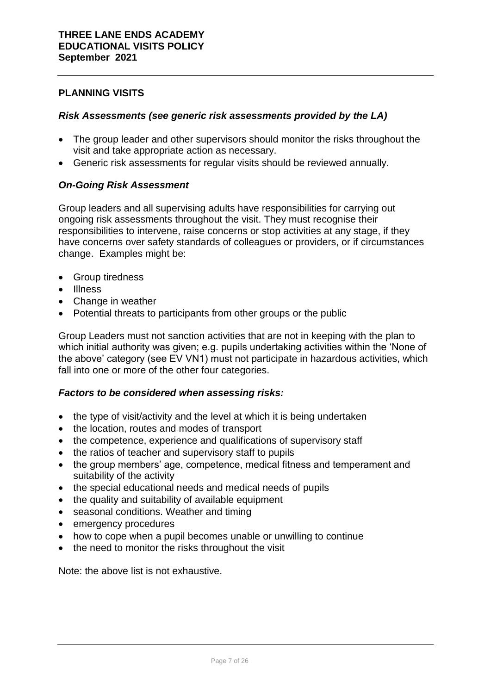# **PLANNING VISITS**

## *Risk Assessments (see generic risk assessments provided by the LA)*

- The group leader and other supervisors should monitor the risks throughout the visit and take appropriate action as necessary.
- Generic risk assessments for regular visits should be reviewed annually.

# *On-Going Risk Assessment*

Group leaders and all supervising adults have responsibilities for carrying out ongoing risk assessments throughout the visit. They must recognise their responsibilities to intervene, raise concerns or stop activities at any stage, if they have concerns over safety standards of colleagues or providers, or if circumstances change. Examples might be:

- Group tiredness
- Illness
- Change in weather
- Potential threats to participants from other groups or the public

Group Leaders must not sanction activities that are not in keeping with the plan to which initial authority was given; e.g. pupils undertaking activities within the 'None of the above' category (see EV VN1) must not participate in hazardous activities, which fall into one or more of the other four categories.

## *Factors to be considered when assessing risks:*

- the type of visit/activity and the level at which it is being undertaken
- the location, routes and modes of transport
- the competence, experience and qualifications of supervisory staff
- the ratios of teacher and supervisory staff to pupils
- the group members' age, competence, medical fitness and temperament and suitability of the activity
- the special educational needs and medical needs of pupils
- the quality and suitability of available equipment
- seasonal conditions. Weather and timing
- emergency procedures
- how to cope when a pupil becomes unable or unwilling to continue
- the need to monitor the risks throughout the visit

Note: the above list is not exhaustive.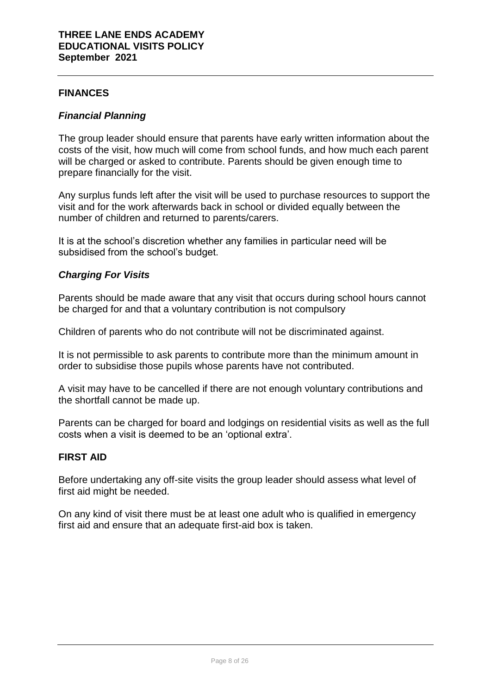# **FINANCES**

## *Financial Planning*

The group leader should ensure that parents have early written information about the costs of the visit, how much will come from school funds, and how much each parent will be charged or asked to contribute. Parents should be given enough time to prepare financially for the visit.

Any surplus funds left after the visit will be used to purchase resources to support the visit and for the work afterwards back in school or divided equally between the number of children and returned to parents/carers.

It is at the school's discretion whether any families in particular need will be subsidised from the school's budget.

# *Charging For Visits*

Parents should be made aware that any visit that occurs during school hours cannot be charged for and that a voluntary contribution is not compulsory

Children of parents who do not contribute will not be discriminated against.

It is not permissible to ask parents to contribute more than the minimum amount in order to subsidise those pupils whose parents have not contributed.

A visit may have to be cancelled if there are not enough voluntary contributions and the shortfall cannot be made up.

Parents can be charged for board and lodgings on residential visits as well as the full costs when a visit is deemed to be an 'optional extra'.

## **FIRST AID**

Before undertaking any off-site visits the group leader should assess what level of first aid might be needed.

On any kind of visit there must be at least one adult who is qualified in emergency first aid and ensure that an adequate first-aid box is taken.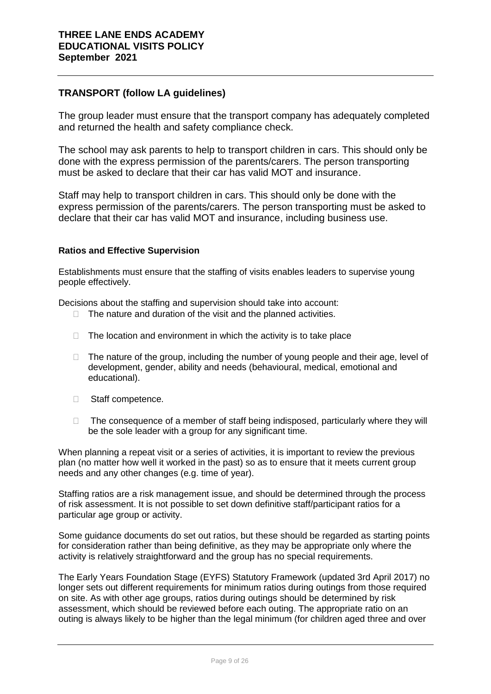# **TRANSPORT (follow LA guidelines)**

The group leader must ensure that the transport company has adequately completed and returned the health and safety compliance check.

The school may ask parents to help to transport children in cars. This should only be done with the express permission of the parents/carers. The person transporting must be asked to declare that their car has valid MOT and insurance.

Staff may help to transport children in cars. This should only be done with the express permission of the parents/carers. The person transporting must be asked to declare that their car has valid MOT and insurance, including business use.

#### **Ratios and Effective Supervision**

Establishments must ensure that the staffing of visits enables leaders to supervise young people effectively.

Decisions about the staffing and supervision should take into account:

- $\Box$  The nature and duration of the visit and the planned activities.
- $\Box$  The location and environment in which the activity is to take place
- $\Box$  The nature of the group, including the number of young people and their age, level of development, gender, ability and needs (behavioural, medical, emotional and educational).
- □ Staff competence.
- $\Box$  The consequence of a member of staff being indisposed, particularly where they will be the sole leader with a group for any significant time.

When planning a repeat visit or a series of activities, it is important to review the previous plan (no matter how well it worked in the past) so as to ensure that it meets current group needs and any other changes (e.g. time of year).

Staffing ratios are a risk management issue, and should be determined through the process of risk assessment. It is not possible to set down definitive staff/participant ratios for a particular age group or activity.

Some guidance documents do set out ratios, but these should be regarded as starting points for consideration rather than being definitive, as they may be appropriate only where the activity is relatively straightforward and the group has no special requirements.

The Early Years Foundation Stage (EYFS) Statutory Framework (updated 3rd April 2017) no longer sets out different requirements for minimum ratios during outings from those required on site. As with other age groups, ratios during outings should be determined by risk assessment, which should be reviewed before each outing. The appropriate ratio on an outing is always likely to be higher than the legal minimum (for children aged three and over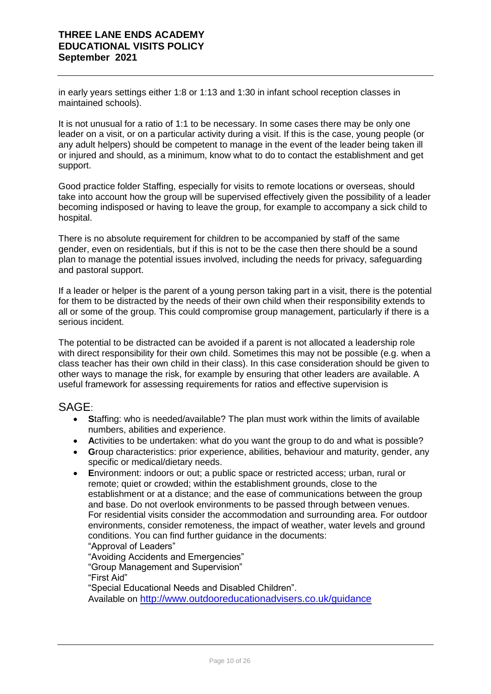in early years settings either 1:8 or 1:13 and 1:30 in infant school reception classes in maintained schools).

It is not unusual for a ratio of 1:1 to be necessary. In some cases there may be only one leader on a visit, or on a particular activity during a visit. If this is the case, young people (or any adult helpers) should be competent to manage in the event of the leader being taken ill or injured and should, as a minimum, know what to do to contact the establishment and get support.

Good practice folder Staffing, especially for visits to remote locations or overseas, should take into account how the group will be supervised effectively given the possibility of a leader becoming indisposed or having to leave the group, for example to accompany a sick child to hospital.

There is no absolute requirement for children to be accompanied by staff of the same gender, even on residentials, but if this is not to be the case then there should be a sound plan to manage the potential issues involved, including the needs for privacy, safeguarding and pastoral support.

If a leader or helper is the parent of a young person taking part in a visit, there is the potential for them to be distracted by the needs of their own child when their responsibility extends to all or some of the group. This could compromise group management, particularly if there is a serious incident.

The potential to be distracted can be avoided if a parent is not allocated a leadership role with direct responsibility for their own child. Sometimes this may not be possible (e.g. when a class teacher has their own child in their class). In this case consideration should be given to other ways to manage the risk, for example by ensuring that other leaders are available. A useful framework for assessing requirements for ratios and effective supervision is

# SAGE:

- **S**taffing: who is needed/available? The plan must work within the limits of available numbers, abilities and experience.
- **A**ctivities to be undertaken: what do you want the group to do and what is possible?
- **G**roup characteristics: prior experience, abilities, behaviour and maturity, gender, any specific or medical/dietary needs.
- **E**nvironment: indoors or out; a public space or restricted access; urban, rural or remote; quiet or crowded; within the establishment grounds, close to the establishment or at a distance; and the ease of communications between the group and base. Do not overlook environments to be passed through between venues. For residential visits consider the accommodation and surrounding area. For outdoor environments, consider remoteness, the impact of weather, water levels and ground conditions. You can find further guidance in the documents: "Approval of Leaders"

"Avoiding Accidents and Emergencies" "Group Management and Supervision" "First Aid" "Special Educational Needs and Disabled Children". Available on <http://www.outdooreducationadvisers.co.uk/guidance>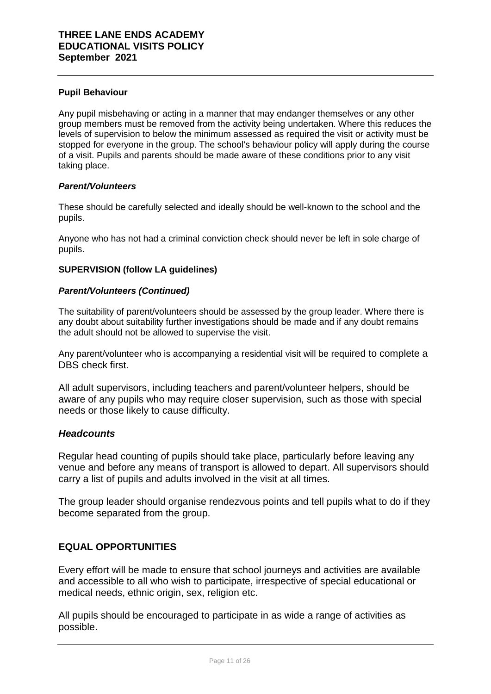#### **Pupil Behaviour**

Any pupil misbehaving or acting in a manner that may endanger themselves or any other group members must be removed from the activity being undertaken. Where this reduces the levels of supervision to below the minimum assessed as required the visit or activity must be stopped for everyone in the group. The school's behaviour policy will apply during the course of a visit. Pupils and parents should be made aware of these conditions prior to any visit taking place.

#### *Parent/Volunteers*

These should be carefully selected and ideally should be well-known to the school and the pupils.

Anyone who has not had a criminal conviction check should never be left in sole charge of pupils.

#### **SUPERVISION (follow LA guidelines)**

#### *Parent/Volunteers (Continued)*

The suitability of parent/volunteers should be assessed by the group leader. Where there is any doubt about suitability further investigations should be made and if any doubt remains the adult should not be allowed to supervise the visit.

Any parent/volunteer who is accompanying a residential visit will be required to complete a DBS check first.

All adult supervisors, including teachers and parent/volunteer helpers, should be aware of any pupils who may require closer supervision, such as those with special needs or those likely to cause difficulty.

## *Headcounts*

Regular head counting of pupils should take place, particularly before leaving any venue and before any means of transport is allowed to depart. All supervisors should carry a list of pupils and adults involved in the visit at all times.

The group leader should organise rendezvous points and tell pupils what to do if they become separated from the group.

# **EQUAL OPPORTUNITIES**

Every effort will be made to ensure that school journeys and activities are available and accessible to all who wish to participate, irrespective of special educational or medical needs, ethnic origin, sex, religion etc.

All pupils should be encouraged to participate in as wide a range of activities as possible.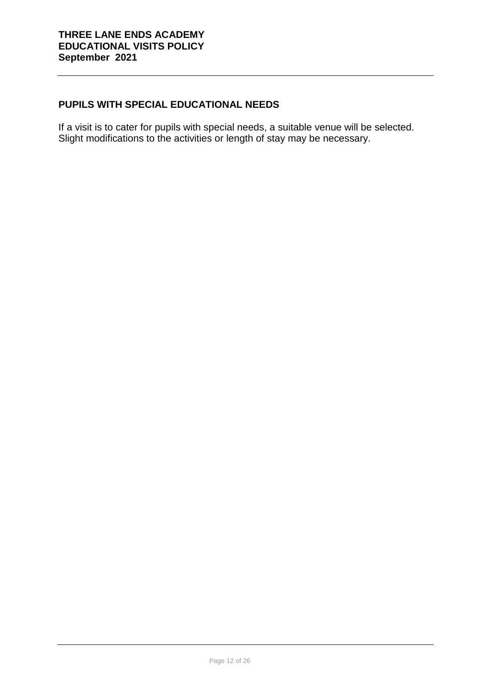# **PUPILS WITH SPECIAL EDUCATIONAL NEEDS**

If a visit is to cater for pupils with special needs, a suitable venue will be selected. Slight modifications to the activities or length of stay may be necessary.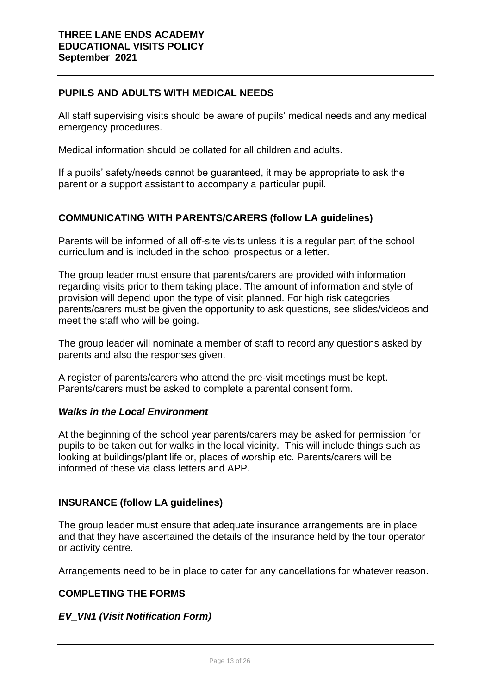## **PUPILS AND ADULTS WITH MEDICAL NEEDS**

All staff supervising visits should be aware of pupils' medical needs and any medical emergency procedures.

Medical information should be collated for all children and adults.

If a pupils' safety/needs cannot be guaranteed, it may be appropriate to ask the parent or a support assistant to accompany a particular pupil.

# **COMMUNICATING WITH PARENTS/CARERS (follow LA guidelines)**

Parents will be informed of all off-site visits unless it is a regular part of the school curriculum and is included in the school prospectus or a letter.

The group leader must ensure that parents/carers are provided with information regarding visits prior to them taking place. The amount of information and style of provision will depend upon the type of visit planned. For high risk categories parents/carers must be given the opportunity to ask questions, see slides/videos and meet the staff who will be going.

The group leader will nominate a member of staff to record any questions asked by parents and also the responses given.

A register of parents/carers who attend the pre-visit meetings must be kept. Parents/carers must be asked to complete a parental consent form.

## *Walks in the Local Environment*

At the beginning of the school year parents/carers may be asked for permission for pupils to be taken out for walks in the local vicinity. This will include things such as looking at buildings/plant life or, places of worship etc. Parents/carers will be informed of these via class letters and APP.

## **INSURANCE (follow LA guidelines)**

The group leader must ensure that adequate insurance arrangements are in place and that they have ascertained the details of the insurance held by the tour operator or activity centre.

Arrangements need to be in place to cater for any cancellations for whatever reason.

## **COMPLETING THE FORMS**

## *EV\_VN1 (Visit Notification Form)*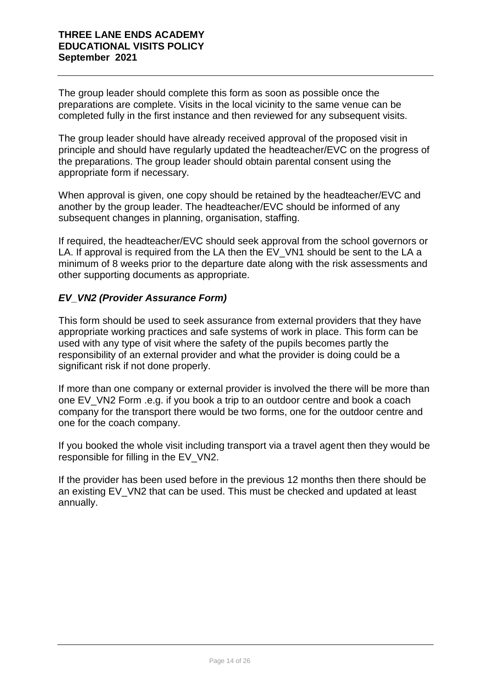The group leader should complete this form as soon as possible once the preparations are complete. Visits in the local vicinity to the same venue can be completed fully in the first instance and then reviewed for any subsequent visits.

The group leader should have already received approval of the proposed visit in principle and should have regularly updated the headteacher/EVC on the progress of the preparations. The group leader should obtain parental consent using the appropriate form if necessary.

When approval is given, one copy should be retained by the headteacher/EVC and another by the group leader. The headteacher/EVC should be informed of any subsequent changes in planning, organisation, staffing.

If required, the headteacher/EVC should seek approval from the school governors or LA. If approval is required from the LA then the EV VN1 should be sent to the LA a minimum of 8 weeks prior to the departure date along with the risk assessments and other supporting documents as appropriate.

# *EV\_VN2 (Provider Assurance Form)*

This form should be used to seek assurance from external providers that they have appropriate working practices and safe systems of work in place. This form can be used with any type of visit where the safety of the pupils becomes partly the responsibility of an external provider and what the provider is doing could be a significant risk if not done properly.

If more than one company or external provider is involved the there will be more than one EV\_VN2 Form .e.g. if you book a trip to an outdoor centre and book a coach company for the transport there would be two forms, one for the outdoor centre and one for the coach company.

If you booked the whole visit including transport via a travel agent then they would be responsible for filling in the EV\_VN2.

If the provider has been used before in the previous 12 months then there should be an existing EV VN2 that can be used. This must be checked and updated at least annually.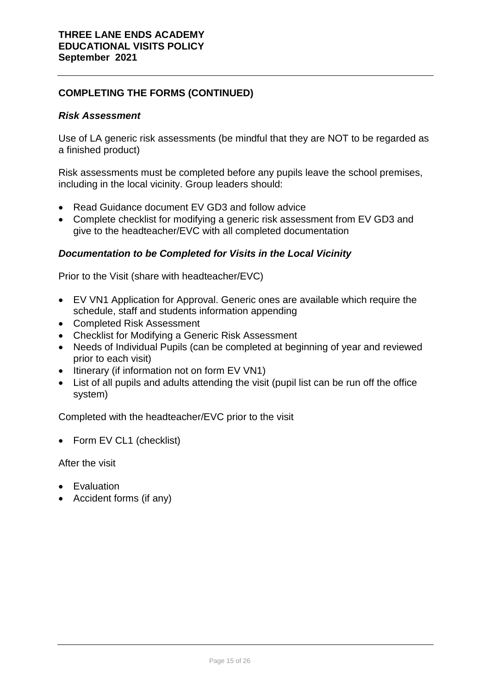# **COMPLETING THE FORMS (CONTINUED)**

## *Risk Assessment*

Use of LA generic risk assessments (be mindful that they are NOT to be regarded as a finished product)

Risk assessments must be completed before any pupils leave the school premises, including in the local vicinity. Group leaders should:

- Read Guidance document EV GD3 and follow advice
- Complete checklist for modifying a generic risk assessment from EV GD3 and give to the headteacher/EVC with all completed documentation

# *Documentation to be Completed for Visits in the Local Vicinity*

Prior to the Visit (share with headteacher/EVC)

- EV VN1 Application for Approval. Generic ones are available which require the schedule, staff and students information appending
- Completed Risk Assessment
- Checklist for Modifying a Generic Risk Assessment
- Needs of Individual Pupils (can be completed at beginning of year and reviewed prior to each visit)
- Itinerary (if information not on form EV VN1)
- List of all pupils and adults attending the visit (pupil list can be run off the office system)

Completed with the headteacher/EVC prior to the visit

• Form EV CL1 (checklist)

After the visit

- Evaluation
- Accident forms (if any)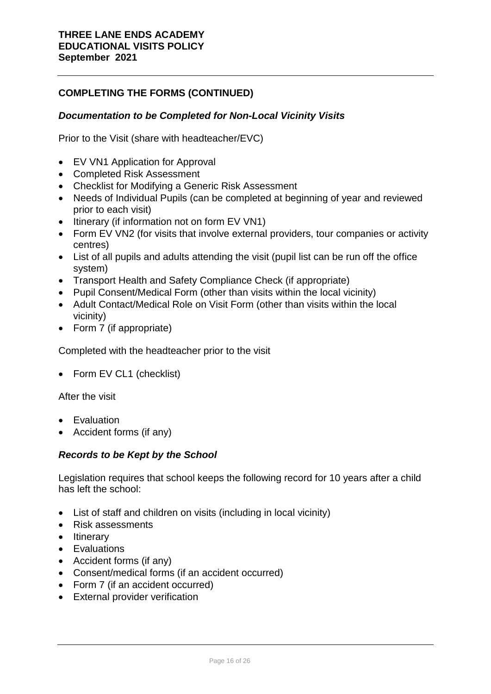# **COMPLETING THE FORMS (CONTINUED)**

## *Documentation to be Completed for Non-Local Vicinity Visits*

Prior to the Visit (share with headteacher/EVC)

- EV VN1 Application for Approval
- Completed Risk Assessment
- Checklist for Modifying a Generic Risk Assessment
- Needs of Individual Pupils (can be completed at beginning of year and reviewed prior to each visit)
- Itinerary (if information not on form EV VN1)
- Form EV VN2 (for visits that involve external providers, tour companies or activity centres)
- List of all pupils and adults attending the visit (pupil list can be run off the office system)
- Transport Health and Safety Compliance Check (if appropriate)
- Pupil Consent/Medical Form (other than visits within the local vicinity)
- Adult Contact/Medical Role on Visit Form (other than visits within the local vicinity)
- Form 7 (if appropriate)

Completed with the headteacher prior to the visit

• Form EV CL1 (checklist)

After the visit

- **•** Evaluation
- Accident forms (if any)

## *Records to be Kept by the School*

Legislation requires that school keeps the following record for 10 years after a child has left the school:

- List of staff and children on visits (including in local vicinity)
- Risk assessments
- Itinerary
- Evaluations
- Accident forms (if any)
- Consent/medical forms (if an accident occurred)
- Form 7 (if an accident occurred)
- External provider verification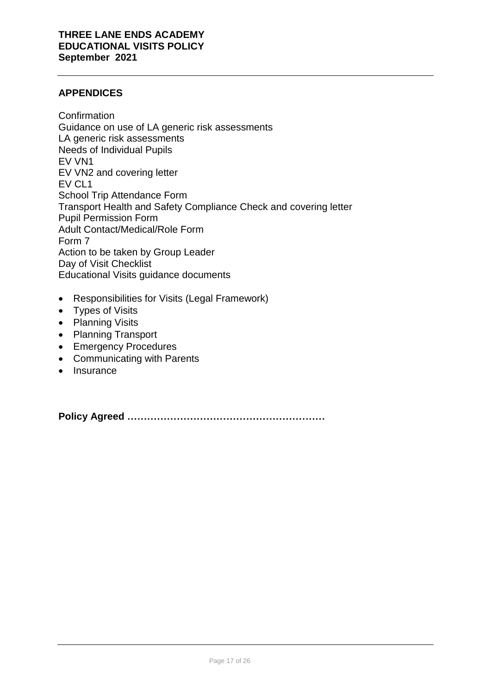# **APPENDICES**

Confirmation Guidance on use of LA generic risk assessments LA generic risk assessments Needs of Individual Pupils EV VN1 EV VN2 and covering letter EV CL1 School Trip Attendance Form Transport Health and Safety Compliance Check and covering letter Pupil Permission Form Adult Contact/Medical/Role Form Form 7 Action to be taken by Group Leader Day of Visit Checklist Educational Visits guidance documents

- Responsibilities for Visits (Legal Framework)
- Types of Visits
- Planning Visits
- Planning Transport
- Emergency Procedures
- Communicating with Parents
- Insurance

**Policy Agreed ……………………………………………………**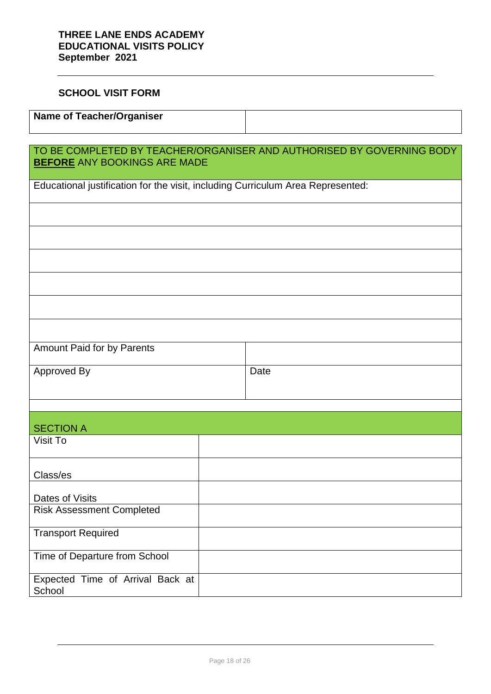# **SCHOOL VISIT FORM**

| Name of Teacher/Organiser |  |
|---------------------------|--|
|                           |  |

| TO BE COMPLETED BY TEACHER/ORGANISER AND AUTHORISED BY GOVERNING BODY<br><b>BEFORE ANY BOOKINGS ARE MADE</b> |  |      |  |
|--------------------------------------------------------------------------------------------------------------|--|------|--|
| Educational justification for the visit, including Curriculum Area Represented:                              |  |      |  |
|                                                                                                              |  |      |  |
|                                                                                                              |  |      |  |
|                                                                                                              |  |      |  |
|                                                                                                              |  |      |  |
|                                                                                                              |  |      |  |
|                                                                                                              |  |      |  |
| Amount Paid for by Parents                                                                                   |  |      |  |
| Approved By                                                                                                  |  | Date |  |
|                                                                                                              |  |      |  |
| <b>SECTION A</b>                                                                                             |  |      |  |
| Visit To                                                                                                     |  |      |  |
| Class/es                                                                                                     |  |      |  |
| Dates of Visits                                                                                              |  |      |  |
| <b>Risk Assessment Completed</b>                                                                             |  |      |  |
| <b>Transport Required</b>                                                                                    |  |      |  |
| Time of Departure from School                                                                                |  |      |  |
| Expected Time of Arrival Back at<br>School                                                                   |  |      |  |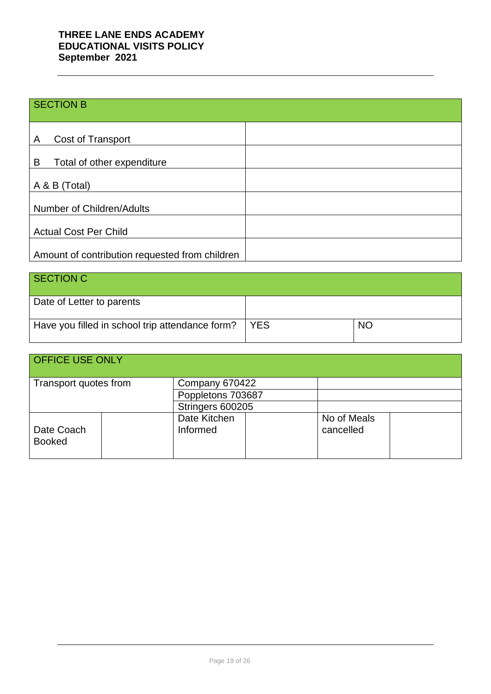# SECTION B

| Cost of Transport<br>Α                         |  |
|------------------------------------------------|--|
| B<br>Total of other expenditure                |  |
| A & B (Total)                                  |  |
| Number of Children/Adults                      |  |
| <b>Actual Cost Per Child</b>                   |  |
| Amount of contribution requested from children |  |

| SECTION C                                       |            |           |
|-------------------------------------------------|------------|-----------|
| Date of Letter to parents                       |            |           |
| Have you filled in school trip attendance form? | <b>YES</b> | <b>NO</b> |

| <b>OFFICE USE ONLY</b>      |  |                          |                          |  |
|-----------------------------|--|--------------------------|--------------------------|--|
| Transport quotes from       |  | Company 670422           |                          |  |
|                             |  | Poppletons 703687        |                          |  |
|                             |  | Stringers 600205         |                          |  |
| Date Coach<br><b>Booked</b> |  | Date Kitchen<br>Informed | No of Meals<br>cancelled |  |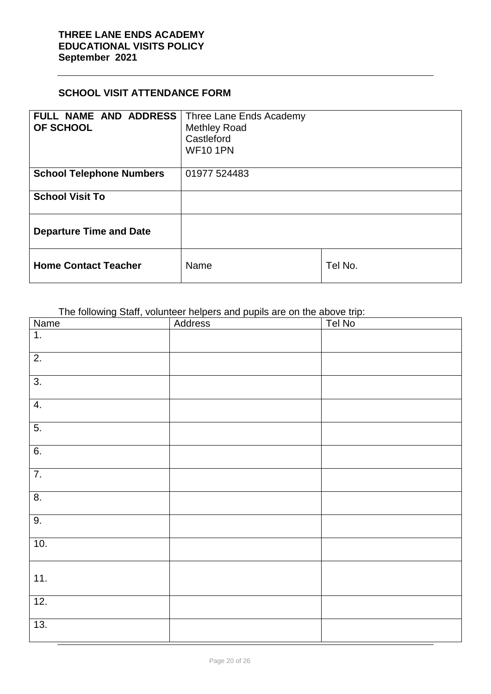# **SCHOOL VISIT ATTENDANCE FORM**

| FULL NAME AND ADDRESS<br><b>OF SCHOOL</b> | Three Lane Ends Academy<br><b>Methley Road</b><br>Castleford<br><b>WF101PN</b> |         |
|-------------------------------------------|--------------------------------------------------------------------------------|---------|
| <b>School Telephone Numbers</b>           | 01977 524483                                                                   |         |
| <b>School Visit To</b>                    |                                                                                |         |
| <b>Departure Time and Date</b>            |                                                                                |         |
| <b>Home Contact Teacher</b>               | Name                                                                           | Tel No. |

The following Staff, volunteer helpers and pupils are on the above trip:

| <b>Name</b>       | Address | Tel No |
|-------------------|---------|--------|
| $\overline{1}$ .  |         |        |
| $\overline{2}$ .  |         |        |
| $\overline{3}$ .  |         |        |
| $\overline{4}$ .  |         |        |
| $\overline{5}$ .  |         |        |
| 6.                |         |        |
| $\overline{7}$ .  |         |        |
| $\overline{8}$ .  |         |        |
| 9.                |         |        |
| 10.               |         |        |
| 11.               |         |        |
| $\overline{12}$ . |         |        |
| 13.               |         |        |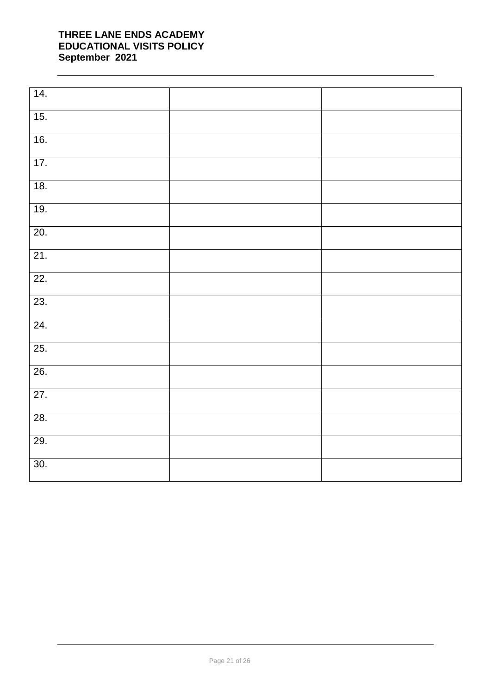| 14.               |  |
|-------------------|--|
| 15.               |  |
| 16.               |  |
| 17.               |  |
| 18.               |  |
| 19.               |  |
| 20.               |  |
| $\overline{21}$ . |  |
| 22.               |  |
| 23.               |  |
| 24.               |  |
| 25.               |  |
| $\overline{26}$ . |  |
| $\overline{27}$ . |  |
| 28.               |  |
| 29.               |  |
| 30.               |  |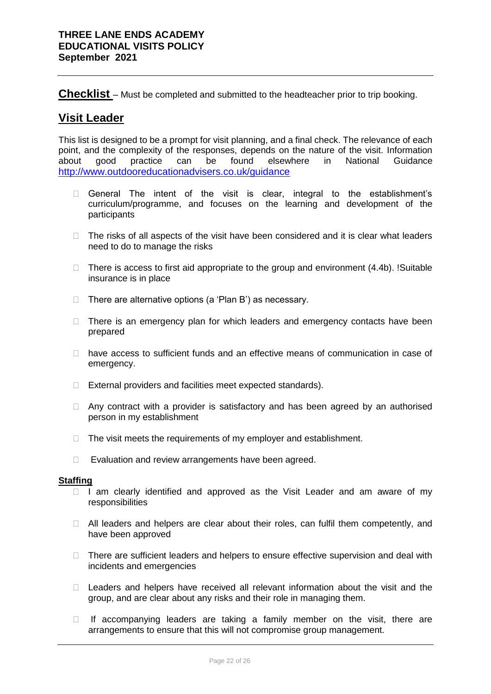**Checklist** – Must be completed and submitted to the headteacher prior to trip booking.

# **Visit Leader**

This list is designed to be a prompt for visit planning, and a final check. The relevance of each point, and the complexity of the responses, depends on the nature of the visit. Information about good practice can be found elsewhere in National Guidance <http://www.outdooreducationadvisers.co.uk/guidance>

- General The intent of the visit is clear, integral to the establishment's curriculum/programme, and focuses on the learning and development of the participants
- $\Box$  The risks of all aspects of the visit have been considered and it is clear what leaders need to do to manage the risks
- $\Box$  There is access to first aid appropriate to the group and environment (4.4b). !Suitable insurance is in place
- $\Box$  There are alternative options (a 'Plan B') as necessary.
- $\Box$  There is an emergency plan for which leaders and emergency contacts have been prepared
- $\Box$  have access to sufficient funds and an effective means of communication in case of emergency.
- □ External providers and facilities meet expected standards).
- $\Box$  Any contract with a provider is satisfactory and has been agreed by an authorised person in my establishment
- $\Box$  The visit meets the requirements of my employer and establishment.
- $\Box$  Evaluation and review arrangements have been agreed.

#### **Staffing**

- $\Box$  I am clearly identified and approved as the Visit Leader and am aware of my responsibilities
- $\Box$  All leaders and helpers are clear about their roles, can fulfil them competently, and have been approved
- $\Box$  There are sufficient leaders and helpers to ensure effective supervision and deal with incidents and emergencies
- $\Box$  Leaders and helpers have received all relevant information about the visit and the group, and are clear about any risks and their role in managing them.
- $\Box$  If accompanying leaders are taking a family member on the visit, there are arrangements to ensure that this will not compromise group management.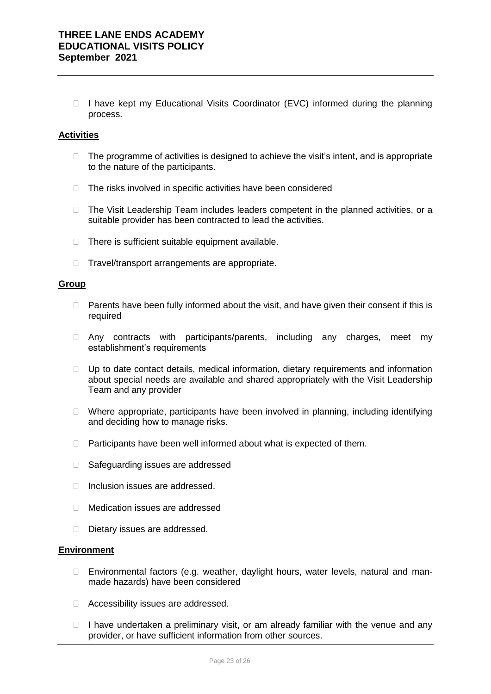$\Box$  I have kept my Educational Visits Coordinator (EVC) informed during the planning process.

#### **Activities**

- $\Box$  The programme of activities is designed to achieve the visit's intent, and is appropriate to the nature of the participants.
- $\Box$  The risks involved in specific activities have been considered
- □ The Visit Leadership Team includes leaders competent in the planned activities, or a suitable provider has been contracted to lead the activities.
- $\Box$  There is sufficient suitable equipment available.
- $\Box$  Travel/transport arrangements are appropriate.

#### **Group**

- $\Box$  Parents have been fully informed about the visit, and have given their consent if this is required
- $\Box$  Any contracts with participants/parents, including any charges, meet my establishment's requirements
- $\Box$  Up to date contact details, medical information, dietary requirements and information about special needs are available and shared appropriately with the Visit Leadership Team and any provider
- $\Box$  Where appropriate, participants have been involved in planning, including identifying and deciding how to manage risks.
- $\Box$  Participants have been well informed about what is expected of them.
- □ Safeguarding issues are addressed
- $\Box$  Inclusion issues are addressed.
- Medication issues are addressed
- Dietary issues are addressed.

#### **Environment**

- □ Environmental factors (e.g. weather, daylight hours, water levels, natural and manmade hazards) have been considered
- □ Accessibility issues are addressed.
- $\Box$  I have undertaken a preliminary visit, or am already familiar with the venue and any provider, or have sufficient information from other sources.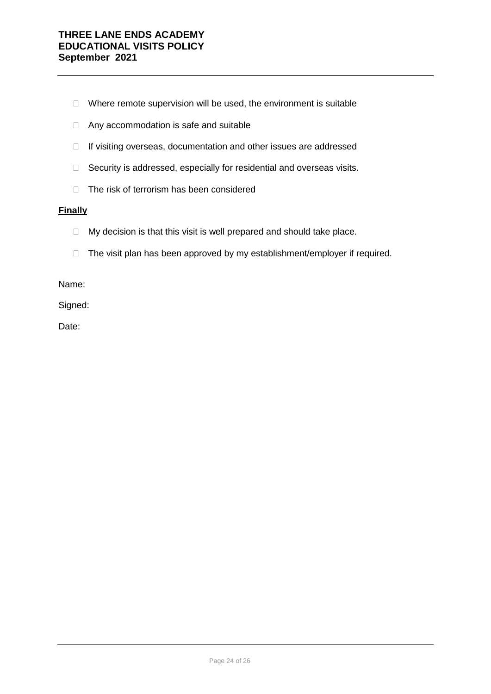- $\Box$  Where remote supervision will be used, the environment is suitable
- □ Any accommodation is safe and suitable
- $\Box$  If visiting overseas, documentation and other issues are addressed
- $\Box$  Security is addressed, especially for residential and overseas visits.
- □ The risk of terrorism has been considered

#### **Finally**

- $\Box$  My decision is that this visit is well prepared and should take place.
- $\Box$  The visit plan has been approved by my establishment/employer if required.

Name:

Signed:

Date: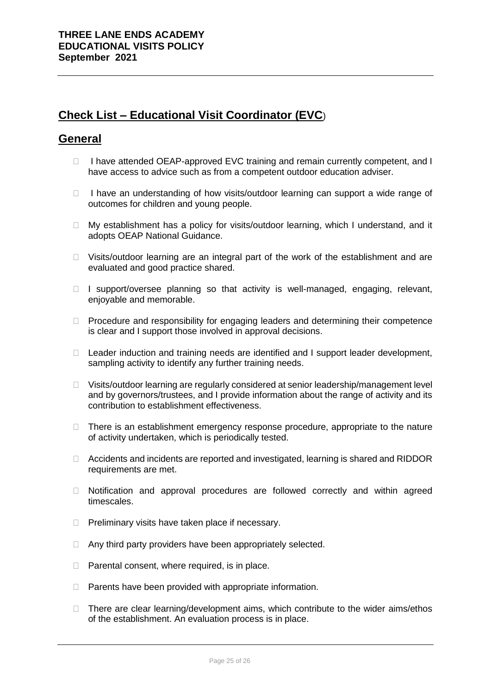# **Check List – Educational Visit Coordinator (EVC**)

# **General**

- $\Box$  I have attended OEAP-approved EVC training and remain currently competent, and I have access to advice such as from a competent outdoor education adviser.
- $\Box$  I have an understanding of how visits/outdoor learning can support a wide range of outcomes for children and young people.
- $\Box$  My establishment has a policy for visits/outdoor learning, which I understand, and it adopts OEAP National Guidance.
- $\Box$  Visits/outdoor learning are an integral part of the work of the establishment and are evaluated and good practice shared.
- $\Box$  I support/oversee planning so that activity is well-managed, engaging, relevant, enjoyable and memorable.
- $\Box$  Procedure and responsibility for engaging leaders and determining their competence is clear and I support those involved in approval decisions.
- □ Leader induction and training needs are identified and I support leader development, sampling activity to identify any further training needs.
- □ Visits/outdoor learning are regularly considered at senior leadership/management level and by governors/trustees, and I provide information about the range of activity and its contribution to establishment effectiveness.
- $\Box$  There is an establishment emergency response procedure, appropriate to the nature of activity undertaken, which is periodically tested.
- $\Box$  Accidents and incidents are reported and investigated, learning is shared and RIDDOR requirements are met.
- Notification and approval procedures are followed correctly and within agreed timescales.
- $\Box$  Preliminary visits have taken place if necessary.
- $\Box$  Any third party providers have been appropriately selected.
- $\Box$  Parental consent, where required, is in place.
- $\Box$  Parents have been provided with appropriate information.
- $\Box$  There are clear learning/development aims, which contribute to the wider aims/ethos of the establishment. An evaluation process is in place.